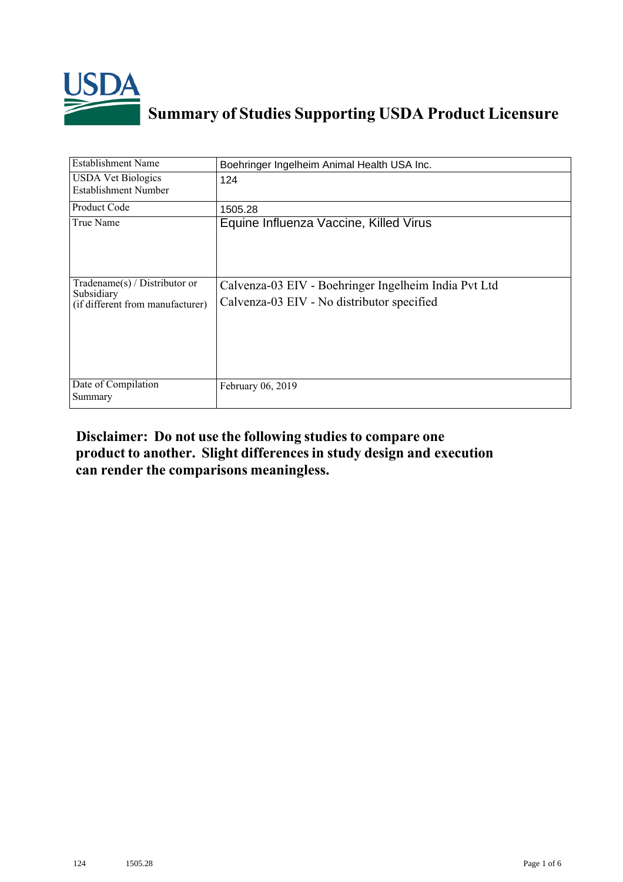

## **Summary of Studies Supporting USDA Product Licensure**

| Establishment Name                                                              | Boehringer Ingelheim Animal Health USA Inc.                                                        |
|---------------------------------------------------------------------------------|----------------------------------------------------------------------------------------------------|
| <b>USDA Vet Biologics</b><br><b>Establishment Number</b>                        | 124                                                                                                |
| Product Code                                                                    | 1505.28                                                                                            |
| True Name                                                                       | Equine Influenza Vaccine, Killed Virus                                                             |
| Tradename(s) / Distributor or<br>Subsidiary<br>(if different from manufacturer) | Calvenza-03 EIV - Boehringer Ingelheim India Pvt Ltd<br>Calvenza-03 EIV - No distributor specified |
| Date of Compilation<br>Summary                                                  | February 06, 2019                                                                                  |

## **Disclaimer: Do not use the following studiesto compare one product to another. Slight differencesin study design and execution can render the comparisons meaningless.**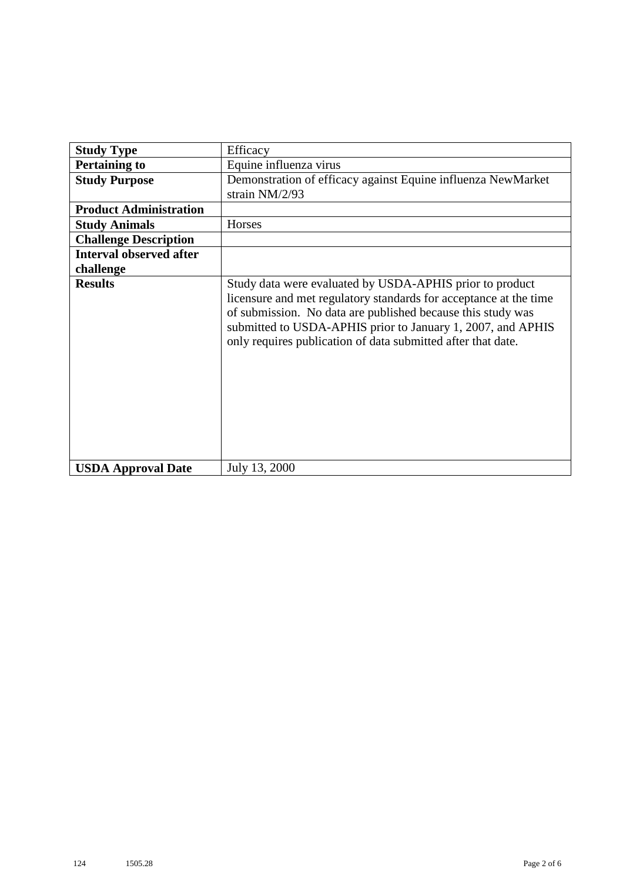| <b>Study Type</b>              | Efficacy                                                                                                                                                                                                                                                                                                                    |
|--------------------------------|-----------------------------------------------------------------------------------------------------------------------------------------------------------------------------------------------------------------------------------------------------------------------------------------------------------------------------|
| <b>Pertaining to</b>           | Equine influenza virus                                                                                                                                                                                                                                                                                                      |
| <b>Study Purpose</b>           | Demonstration of efficacy against Equine influenza NewMarket<br>strain NM/2/93                                                                                                                                                                                                                                              |
| <b>Product Administration</b>  |                                                                                                                                                                                                                                                                                                                             |
| <b>Study Animals</b>           | Horses                                                                                                                                                                                                                                                                                                                      |
| <b>Challenge Description</b>   |                                                                                                                                                                                                                                                                                                                             |
| <b>Interval observed after</b> |                                                                                                                                                                                                                                                                                                                             |
| challenge                      |                                                                                                                                                                                                                                                                                                                             |
| <b>Results</b>                 | Study data were evaluated by USDA-APHIS prior to product<br>licensure and met regulatory standards for acceptance at the time<br>of submission. No data are published because this study was<br>submitted to USDA-APHIS prior to January 1, 2007, and APHIS<br>only requires publication of data submitted after that date. |
| <b>USDA Approval Date</b>      | July 13, 2000                                                                                                                                                                                                                                                                                                               |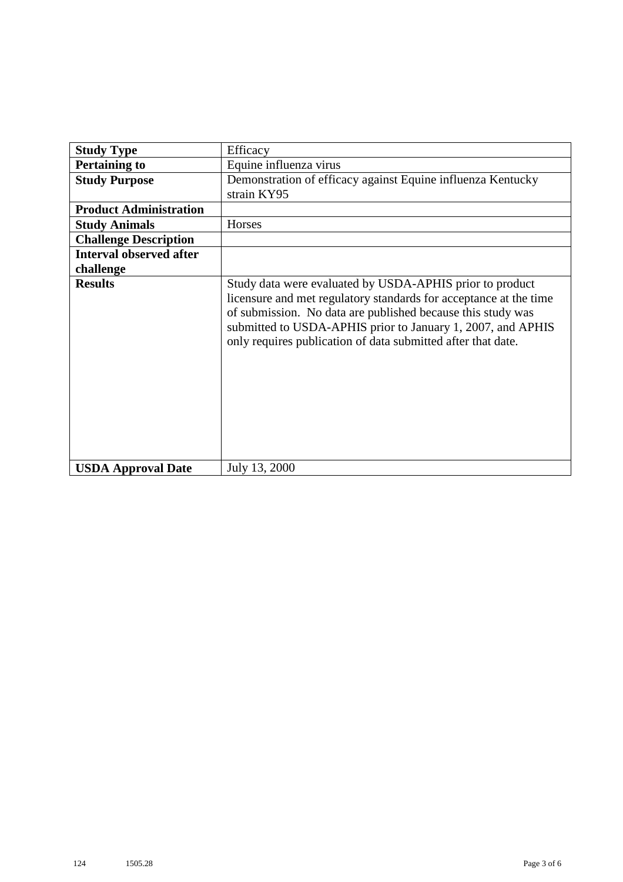| <b>Study Type</b>              | Efficacy                                                                                                                                                                                                                                                                                                                    |
|--------------------------------|-----------------------------------------------------------------------------------------------------------------------------------------------------------------------------------------------------------------------------------------------------------------------------------------------------------------------------|
| <b>Pertaining to</b>           | Equine influenza virus                                                                                                                                                                                                                                                                                                      |
| <b>Study Purpose</b>           | Demonstration of efficacy against Equine influenza Kentucky<br>strain KY95                                                                                                                                                                                                                                                  |
| <b>Product Administration</b>  |                                                                                                                                                                                                                                                                                                                             |
| <b>Study Animals</b>           | Horses                                                                                                                                                                                                                                                                                                                      |
| <b>Challenge Description</b>   |                                                                                                                                                                                                                                                                                                                             |
| <b>Interval observed after</b> |                                                                                                                                                                                                                                                                                                                             |
| challenge                      |                                                                                                                                                                                                                                                                                                                             |
| <b>Results</b>                 | Study data were evaluated by USDA-APHIS prior to product<br>licensure and met regulatory standards for acceptance at the time<br>of submission. No data are published because this study was<br>submitted to USDA-APHIS prior to January 1, 2007, and APHIS<br>only requires publication of data submitted after that date. |
| <b>USDA Approval Date</b>      | July 13, 2000                                                                                                                                                                                                                                                                                                               |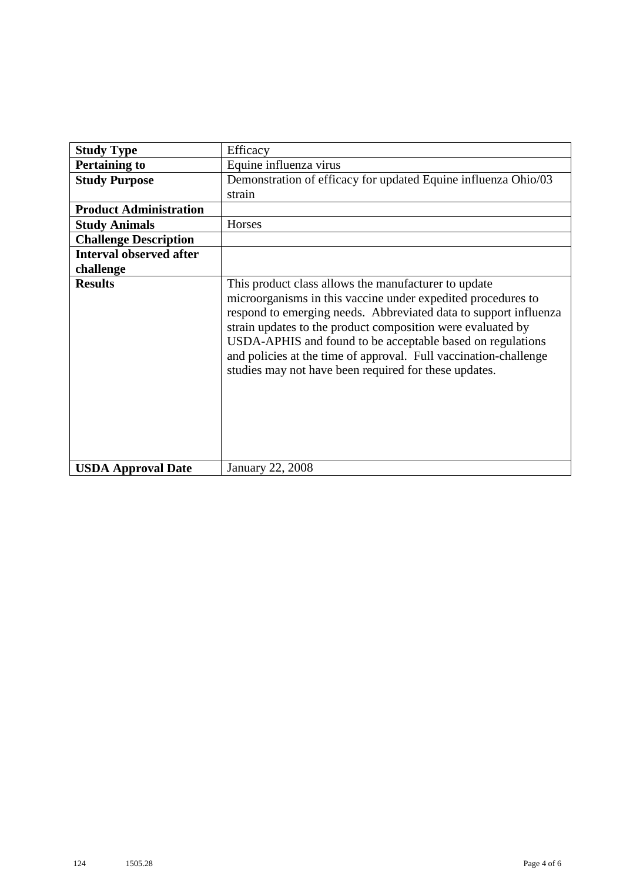| <b>Study Type</b>              | Efficacy                                                                                                                                                                                                                                                                                                                                                                                                                                           |
|--------------------------------|----------------------------------------------------------------------------------------------------------------------------------------------------------------------------------------------------------------------------------------------------------------------------------------------------------------------------------------------------------------------------------------------------------------------------------------------------|
| <b>Pertaining to</b>           | Equine influenza virus                                                                                                                                                                                                                                                                                                                                                                                                                             |
| <b>Study Purpose</b>           | Demonstration of efficacy for updated Equine influenza Ohio/03                                                                                                                                                                                                                                                                                                                                                                                     |
|                                | strain                                                                                                                                                                                                                                                                                                                                                                                                                                             |
| <b>Product Administration</b>  |                                                                                                                                                                                                                                                                                                                                                                                                                                                    |
| <b>Study Animals</b>           | Horses                                                                                                                                                                                                                                                                                                                                                                                                                                             |
| <b>Challenge Description</b>   |                                                                                                                                                                                                                                                                                                                                                                                                                                                    |
| <b>Interval observed after</b> |                                                                                                                                                                                                                                                                                                                                                                                                                                                    |
| challenge                      |                                                                                                                                                                                                                                                                                                                                                                                                                                                    |
| <b>Results</b>                 | This product class allows the manufacturer to update<br>microorganisms in this vaccine under expedited procedures to<br>respond to emerging needs. Abbreviated data to support influenza<br>strain updates to the product composition were evaluated by<br>USDA-APHIS and found to be acceptable based on regulations<br>and policies at the time of approval. Full vaccination-challenge<br>studies may not have been required for these updates. |
| <b>USDA Approval Date</b>      | <b>January 22, 2008</b>                                                                                                                                                                                                                                                                                                                                                                                                                            |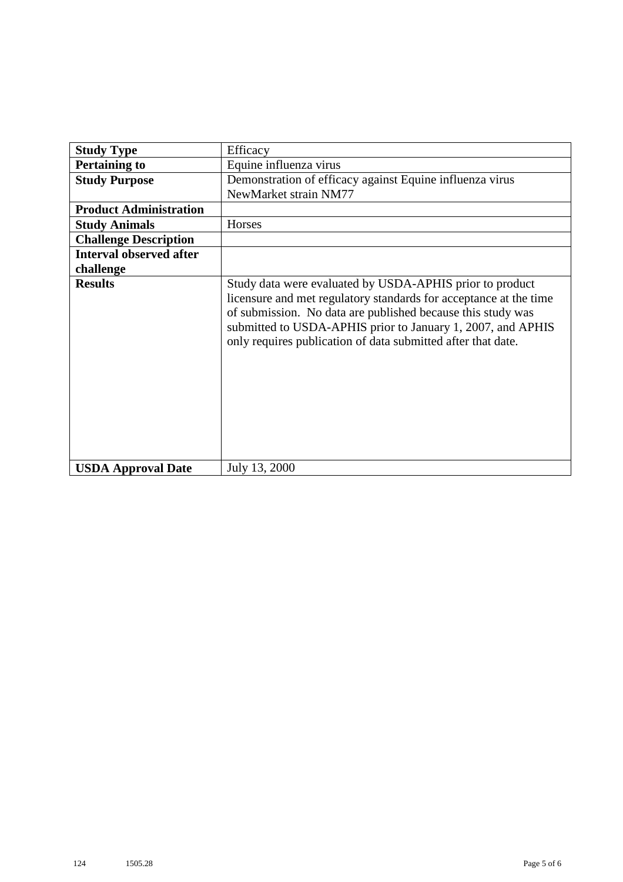| <b>Study Type</b>              | Efficacy                                                                                                                                                                                                                                                                                                                    |
|--------------------------------|-----------------------------------------------------------------------------------------------------------------------------------------------------------------------------------------------------------------------------------------------------------------------------------------------------------------------------|
| <b>Pertaining to</b>           | Equine influenza virus                                                                                                                                                                                                                                                                                                      |
| <b>Study Purpose</b>           | Demonstration of efficacy against Equine influenza virus                                                                                                                                                                                                                                                                    |
|                                | NewMarket strain NM77                                                                                                                                                                                                                                                                                                       |
| <b>Product Administration</b>  |                                                                                                                                                                                                                                                                                                                             |
| <b>Study Animals</b>           | Horses                                                                                                                                                                                                                                                                                                                      |
| <b>Challenge Description</b>   |                                                                                                                                                                                                                                                                                                                             |
| <b>Interval observed after</b> |                                                                                                                                                                                                                                                                                                                             |
| challenge                      |                                                                                                                                                                                                                                                                                                                             |
| <b>Results</b>                 | Study data were evaluated by USDA-APHIS prior to product<br>licensure and met regulatory standards for acceptance at the time<br>of submission. No data are published because this study was<br>submitted to USDA-APHIS prior to January 1, 2007, and APHIS<br>only requires publication of data submitted after that date. |
| <b>USDA Approval Date</b>      | July 13, 2000                                                                                                                                                                                                                                                                                                               |